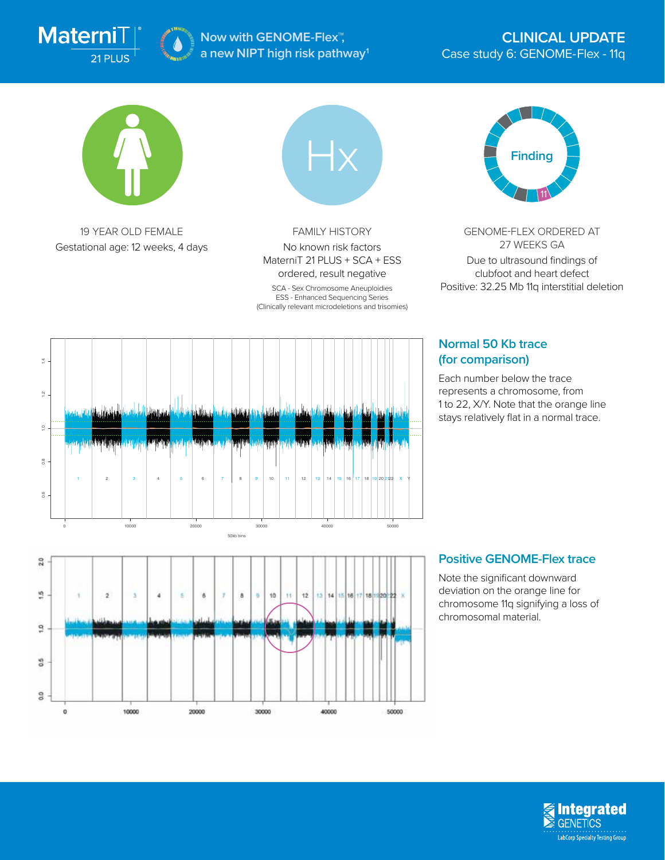

**Now with GENOME-Flex™, a new NIPT high risk pathway1**



19 YEAR OLD FEMALE Gestational age: 12 weeks, 4 days

**CASE OF BUILDING CASE OF CASE OF CASE OF CASE** 

10000

ä

 $\pm$ 

8

20000

8 9 10

30000

 $12$ ia. 34

40000

50000

 $11$ 

 $\frac{1}{2}$ 

 $\ddot{\phantom{a}}$ 

 $\frac{20}{2}$ 

9

 $\tilde{a}$ 

 $0.6$ 

g

 $\circ$ 



FAMILY HISTORY No known risk factors MaterniT 21 PLUS + SCA + ESS ordered, result negative

SCA - Sex Chromosome Aneuploidies ESS - Enhanced Sequencing Series (Clinically relevant microdeletions and trisomies)



GENOME-FLEX ORDERED AT 27 WEEKS GA Due to ultrasound findings of clubfoot and heart defect Positive: 32.25 Mb 11q interstitial deletion

## **Normal 50 Kb trace (for comparison)**

Each number below the trace represents a chromosome, from 1 to 22, X/Y. Note that the orange line stays relatively flat in a normal trace.





deviation on the orange line for chromosome 11q signifying a loss of chromosomal material.